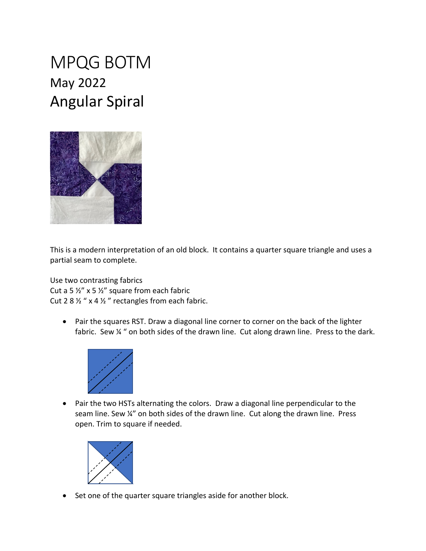## MPQG BOTM May 2022 Angular Spiral



This is a modern interpretation of an old block. It contains a quarter square triangle and uses a partial seam to complete.

Use two contrasting fabrics Cut a 5  $\frac{1}{2}$ " x 5  $\frac{1}{2}$ " square from each fabric Cut 2 8  $\frac{1}{2}$  " x 4  $\frac{1}{2}$ " rectangles from each fabric.

• Pair the squares RST. Draw a diagonal line corner to corner on the back of the lighter fabric. Sew % " on both sides of the drawn line. Cut along drawn line. Press to the dark.



• Pair the two HSTs alternating the colors. Draw a diagonal line perpendicular to the seam line. Sew ¼" on both sides of the drawn line. Cut along the drawn line. Press open. Trim to square if needed.



• Set one of the quarter square triangles aside for another block.